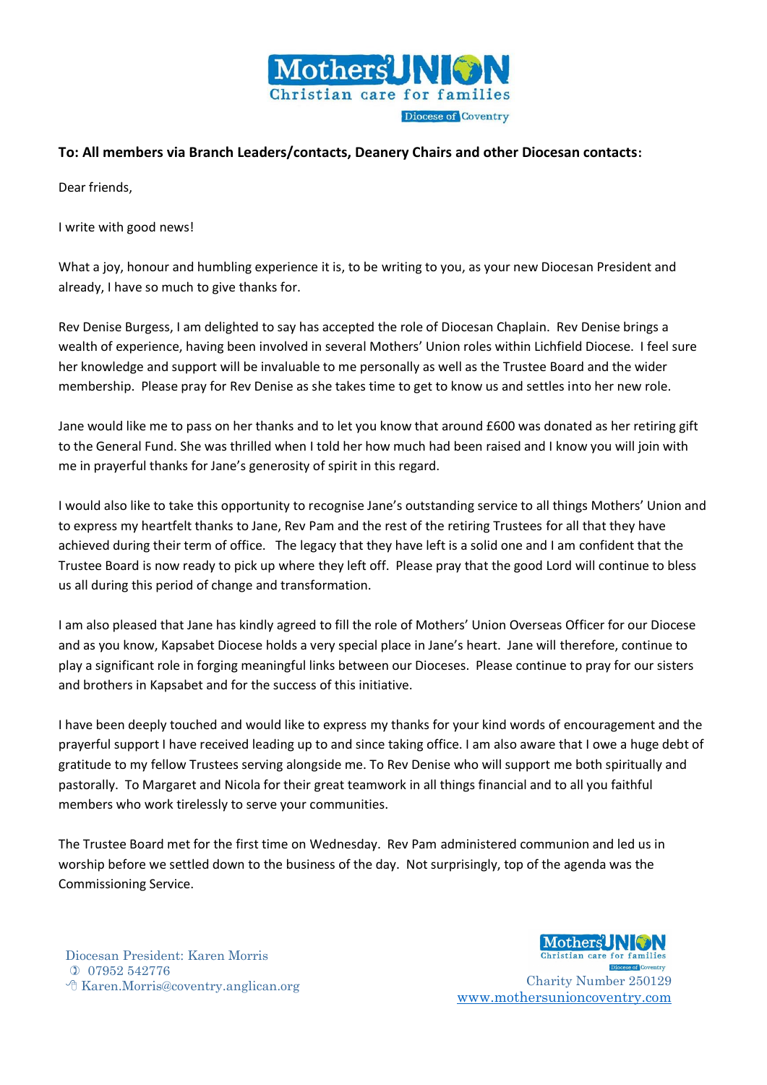

## **To: All members via Branch Leaders/contacts, Deanery Chairs and other Diocesan contacts:**

Dear friends,

I write with good news!

What a joy, honour and humbling experience it is, to be writing to you, as your new Diocesan President and already, I have so much to give thanks for.

Rev Denise Burgess, I am delighted to say has accepted the role of Diocesan Chaplain. Rev Denise brings a wealth of experience, having been involved in several Mothers' Union roles within Lichfield Diocese. I feel sure her knowledge and support will be invaluable to me personally as well as the Trustee Board and the wider membership. Please pray for Rev Denise as she takes time to get to know us and settles into her new role.

Jane would like me to pass on her thanks and to let you know that around £600 was donated as her retiring gift to the General Fund. She was thrilled when I told her how much had been raised and I know you will join with me in prayerful thanks for Jane's generosity of spirit in this regard.

I would also like to take this opportunity to recognise Jane's outstanding service to all things Mothers' Union and to express my heartfelt thanks to Jane, Rev Pam and the rest of the retiring Trustees for all that they have achieved during their term of office. The legacy that they have left is a solid one and I am confident that the Trustee Board is now ready to pick up where they left off. Please pray that the good Lord will continue to bless us all during this period of change and transformation.

I am also pleased that Jane has kindly agreed to fill the role of Mothers' Union Overseas Officer for our Diocese and as you know, Kapsabet Diocese holds a very special place in Jane's heart. Jane will therefore, continue to play a significant role in forging meaningful links between our Dioceses. Please continue to pray for our sisters and brothers in Kapsabet and for the success of this initiative.

I have been deeply touched and would like to express my thanks for your kind words of encouragement and the prayerful support I have received leading up to and since taking office. I am also aware that I owe a huge debt of gratitude to my fellow Trustees serving alongside me. To Rev Denise who will support me both spiritually and pastorally. To Margaret and Nicola for their great teamwork in all things financial and to all you faithful members who work tirelessly to serve your communities.

The Trustee Board met for the first time on Wednesday. Rev Pam administered communion and led us in worship before we settled down to the business of the day. Not surprisingly, top of the agenda was the Commissioning Service.

Diocesan President: Karen Morris 07952 542776 Karen.Morris@coventry.anglican.org Charity Number 250129



**Diocese of Coventry** [www.mothersunioncoventry.com](http://www.mothersunioncoventry.com/)